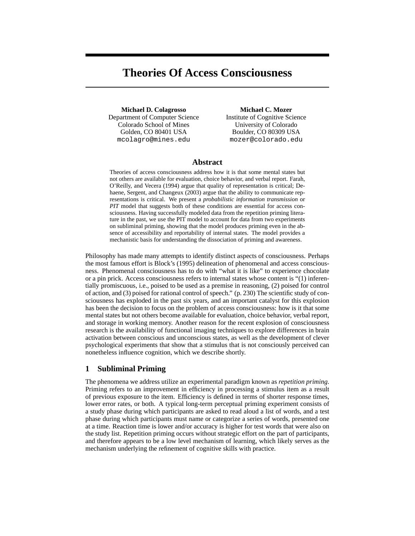# **Theories Of Access Consciousness**

**Michael D. Colagrosso** Department of Computer Science Colorado School of Mines Golden, CO 80401 USA mcolagro@mines.edu

**Michael C. Mozer** Institute of Cognitive Science University of Colorado Boulder, CO 80309 USA mozer@colorado.edu

# **Abstract**

Theories of access consciousness address how it is that some mental states but not others are available for evaluation, choice behavior, and verbal report. Farah, O'Reilly, and Vecera (1994) argue that quality of representation is critical; Dehaene, Sergent, and Changeux (2003) argue that the ability to communicate representations is critical. We present a *probabilistic information transmission* or *PIT* model that suggests both of these conditions are essential for access consciousness. Having successfully modeled data from the repetition priming literature in the past, we use the PIT model to account for data from two experiments on subliminal priming, showing that the model produces priming even in the absence of accessibility and reportability of internal states. The model provides a mechanistic basis for understanding the dissociation of priming and awareness.

Philosophy has made many attempts to identify distinct aspects of consciousness. Perhaps the most famous effort is Block's (1995) delineation of phenomenal and access consciousness. Phenomenal consciousness has to do with "what it is like" to experience chocolate or a pin prick. Access consciousness refers to internal states whose content is "(1) inferentially promiscuous, i.e., poised to be used as a premise in reasoning, (2) poised for control of action, and (3) poised for rational control of speech." (p. 230) The scientific study of consciousness has exploded in the past six years, and an important catalyst for this explosion has been the decision to focus on the problem of access consciousness: how is it that some mental states but not others become available for evaluation, choice behavior, verbal report, and storage in working memory. Another reason for the recent explosion of consciousness research is the availability of functional imaging techniques to explore differences in brain activation between conscious and unconscious states, as well as the development of clever psychological experiments that show that a stimulus that is not consciously perceived can nonetheless influence cognition, which we describe shortly.

# **1 Subliminal Priming**

The phenomena we address utilize an experimental paradigm known as *repetition priming*. Priming refers to an improvement in efficiency in processing a stimulus item as a result of previous exposure to the item. Efficiency is defined in terms of shorter response times, lower error rates, or both. A typical long-term perceptual priming experiment consists of a study phase during which participants are asked to read aloud a list of words, and a test phase during which participants must name or categorize a series of words, presented one at a time. Reaction time is lower and/or accuracy is higher for test words that were also on the study list. Repetition priming occurs without strategic effort on the part of participants, and therefore appears to be a low level mechanism of learning, which likely serves as the mechanism underlying the refinement of cognitive skills with practice.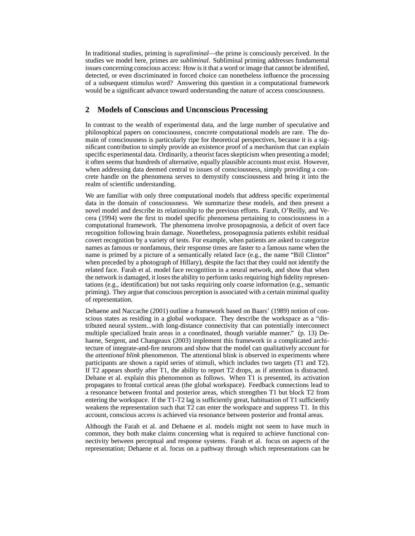In traditional studies, priming is *supraliminal*—the prime is consciously perceived. In the studies we model here, primes are *subliminal*. Subliminal priming addresses fundamental issues concerning conscious access: How is it that a word or image that cannot be identified, detected, or even discriminated in forced choice can nonetheless influence the processing of a subsequent stimulus word? Answering this question in a computational framework would be a significant advance toward understanding the nature of access consciousness.

# **2 Models of Conscious and Unconscious Processing**

In contrast to the wealth of experimental data, and the large number of speculative and philosophical papers on consciousness, concrete computational models are rare. The domain of consciousness is particularly ripe for theoretical perspectives, because it is a significant contribution to simply provide an existence proof of a mechanism that can explain specific experimental data. Ordinarily, a theorist faces skepticism when presenting a model; it often seems that hundreds of alternative, equally plausible accounts must exist. However, when addressing data deemed central to issues of consciousness, simply providing a concrete handle on the phenomena serves to demystify consciousness and bring it into the realm of scientific understanding.

We are familiar with only three computational models that address specific experimental data in the domain of consciousness. We summarize these models, and then present a novel model and describe its relationship to the previous efforts. Farah, O'Reilly, and Vecera (1994) were the first to model specific phenomena pertaining to consciousness in a computational framework. The phenomena involve prosopagnosia, a deficit of overt face recognition following brain damage. Nonetheless, prosopagnosia patients exhibit residual covert recognition by a variety of tests. For example, when patients are asked to categorize names as famous or nonfamous, their response times are faster to a famous name when the name is primed by a picture of a semantically related face (e.g., the name "Bill Clinton" when preceded by a photograph of Hillary), despite the fact that they could not identify the related face. Farah et al. model face recognition in a neural network, and show that when the network is damaged, it loses the ability to perform tasks requiring high fidelity representations (e.g., identification) but not tasks requiring only coarse information (e.g., semantic priming). They argue that conscious perception is associated with a certain minimal quality of representation.

Dehaene and Naccache (2001) outline a framework based on Baars' (1989) notion of conscious states as residing in a global workspace. They describe the workspace as a "distributed neural system...with long-distance connectivity that can potentially interconnect multiple specialized brain areas in a coordinated, though variable manner." (p. 13) Dehaene, Sergent, and Changeaux (2003) implement this framework in a complicated architecture of integrate-and-fire neurons and show that the model can qualitatively account for the *attentional blink* phenomenon. The attentional blink is observed in experiments where participants are shown a rapid series of stimuli, which includes two targets (T1 and T2). If T2 appears shortly after T1, the ability to report T2 drops, as if attention is distracted. Dehane et al. explain this phenomenon as follows. When T1 is presented, its activation propagates to frontal cortical areas (the global workspace). Feedback connections lead to a resonance between frontal and posterior areas, which strengthen T1 but block T2 from entering the workspace. If the T1-T2 lag is sufficiently great, habituation of T1 sufficiently weakens the representation such that T2 can enter the workspace and suppress T1. In this account, conscious access is achieved via resonance between posterior and frontal areas.

Although the Farah et al. and Dehaene et al. models might not seem to have much in common, they both make claims concerning what is required to achieve functional connectivity between perceptual and response systems. Farah et al. focus on aspects of the representation; Dehaene et al. focus on a pathway through which representations can be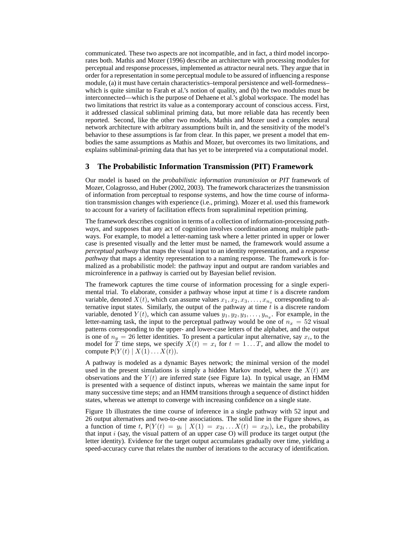communicated. These two aspects are not incompatible, and in fact, a third model incorporates both. Mathis and Mozer (1996) describe an architecture with processing modules for perceptual and response processes, implemented as attractor neural nets. They argue that in order for a representation in some perceptual module to be assured of influencing a response module, (a) it must have certain characteristics–temporal persistence and well-formedness– which is quite similar to Farah et al.'s notion of quality, and (b) the two modules must be interconnected—which is the purpose of Dehaene et al.'s global workspace. The model has two limitations that restrict its value as a contemporary account of conscious access. First, it addressed classical subliminal priming data, but more reliable data has recently been reported. Second, like the other two models, Mathis and Mozer used a complex neural network architecture with arbitrary assumptions built in, and the sensitivity of the model's behavior to these assumptions is far from clear. In this paper, we present a model that embodies the same assumptions as Mathis and Mozer, but overcomes its two limitations, and explains subliminal-priming data that has yet to be interpreted via a computational model.

## **3 The Probabilistic Information Transmission (PIT) Framework**

Our model is based on the *probabilistic information transmission* or *PIT* framework of Mozer, Colagrosso, and Huber (2002, 2003). The framework characterizes the transmission of information from perceptual to response systems, and how the time course of information transmission changes with experience (i.e., priming). Mozer et al. used this framework to account for a variety of facilitation effects from supraliminal repetition priming.

The framework describes cognition in terms of a collection of information-processing *pathways*, and supposes that any act of cognition involves coordination among multiple pathways. For example, to model a letter-naming task where a letter printed in upper or lower case is presented visually and the letter must be named, the framework would assume a *perceptual pathway* that maps the visual input to an identity representation, and a *response pathway* that maps a identity representation to a naming response. The framework is formalized as a probabilistic model: the pathway input and output are random variables and microinference in a pathway is carried out by Bayesian belief revision.

The framework captures the time course of information processing for a single experimental trial. To elaborate, consider a pathway whose input at time  $t$  is a discrete random variable, denoted  $X(t)$ , which can assume values  $x_1, x_2, x_3, \ldots, x_{n_x}$  corresponding to alternative input states. Similarly, the output of the pathway at time  $t$  is a discrete random variable, denoted  $Y(t)$ , which can assume values  $y_1, y_2, y_3, \ldots, y_{n_y}$ . For example, in the letter-naming task, the input to the perceptual pathway would be one of  $n_x = 52$  visual patterns corresponding to the upper- and lower-case letters of the alphabet, and the output is one of  $n_y = 26$  letter identities. To present a particular input alternative, say  $x_i$ , to the model for T time steps, we specify  $X(t) = x_i$  for  $t = 1...T$ , and allow the model to compute  $P(Y(t) | X(1) \dots X(t)).$ 

A pathway is modeled as a dynamic Bayes network; the minimal version of the model used in the present simulations is simply a hidden Markov model, where the  $X(t)$  are observations and the  $Y(t)$  are inferred state (see Figure 1a). In typical usage, an HMM is presented with a sequence of distinct inputs, whereas we maintain the same input for many successive time steps; and an HMM transitions through a sequence of distinct hidden states, whereas we attempt to converge with increasing confidence on a single state.

Figure 1b illustrates the time course of inference in a single pathway with 52 input and 26 output alternatives and two-to-one associations. The solid line in the Figure shows, as a function of time t,  $P(Y(t) = y_i | X(1) = x_{2i} \dots X(t) = x_{2i})$ , i.e., the probability that input  $i$  (say, the visual pattern of an upper case O) will produce its target output (the letter identity). Evidence for the target output accumulates gradually over time, yielding a speed-accuracy curve that relates the number of iterations to the accuracy of identification.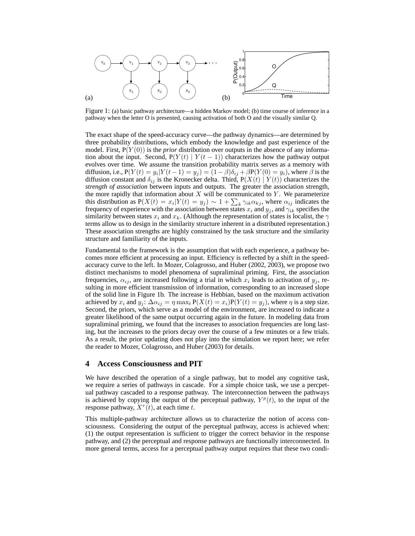

Figure 1: (a) basic pathway architecture—a hidden Markov model; (b) time course of inference in a pathway when the letter O is presented, causing activation of both O and the visually similar Q.

The exact shape of the speed-accuracy curve—the pathway dynamics—are determined by three probability distributions, which embody the knowledge and past experience of the model. First,  $P(Y(0))$  is the *prior* distribution over outputs in the absence of any information about the input. Second,  $P(Y(t) | Y(t-1))$  characterizes how the pathway output evolves over time. We assume the transition probability matrix serves as a memory with diffusion, i.e.,  $P(Y(t) = y_i | Y(t-1) = y_j) = (1 - \beta)\delta_{ij} + \beta P(Y(0) = y_i)$ , where  $\beta$  is the diffusion constant and  $\delta_{ij}$  is the Kronecker delta. Third,  $P(X(t) | Y(t))$  characterizes the *strength of association* between inputs and outputs. The greater the association strength, the more rapidly that information about  $X$  will be communicated to  $Y$ . We parameterize this distribution as  $P(X(t) = x_i | Y(t) = y_j) \sim 1 + \sum_k \gamma_{ik} \alpha_{kj}$ , where  $\alpha_{ij}$  indicates the frequency of experience with the association between states  $x_i$  and  $y_j$ , and  $\gamma_{ik}$  specifies the similarity between states  $x_i$  and  $x_k$ . (Although the representation of states is localist, the  $\gamma$ terms allow us to design in the similarity structure inherent in a distributed representation.) These association strengths are highly constrained by the task structure and the similarity structure and familiarity of the inputs.

Fundamental to the framework is the assumption that with each experience, a pathway becomes more efficient at processing an input. Efficiency is reflected by a shift in the speedaccuracy curve to the left. In Mozer, Colagrosso, and Huber (2002, 2003), we propose two distinct mechanisms to model phenomena of supraliminal priming. First, the association frequencies,  $\alpha_{ij}$ , are increased following a trial in which  $x_i$  leads to activation of  $y_j$ , resulting in more efficient transmission of information, corresponding to an increased slope of the solid line in Figure 1b. The increase is Hebbian, based on the maximum activation achieved by  $x_i$  and  $y_j$ :  $\Delta \alpha_{ij} = \eta \max_t P(X(t) = x_i)P(Y(t) = y_j)$ , where  $\eta$  is a step size. Second, the priors, which serve as a model of the environment, are increased to indicate a greater likelihood of the same output occurring again in the future. In modeling data from supraliminal priming, we found that the increases to association frequencies are long lasting, but the increases to the priors decay over the course of a few minutes or a few trials. As a result, the prior updating does not play into the simulation we report here; we refer the reader to Mozer, Colagrosso, and Huber (2003) for details.

## **4 Access Consciousness and PIT**

We have described the operation of a single pathway, but to model any cognitive task, we require a series of pathways in cascade. For a simple choice task, we use a percpetual pathway cascaded to a response pathway. The interconnection between the pathways is achieved by copying the output of the perceptual pathway,  $Y^p(t)$ , to the input of the response pathway,  $X^r(t)$ , at each time t.

This multiple-pathway architecture allows us to characterize the notion of access consciousness. Considering the output of the perceptual pathway, access is achieved when: (1) the output representation is sufficient to trigger the correct behavior in the response pathway, and (2) the perceptual and response pathways are functionally interconnected. In more general terms, access for a perceptual pathway output requires that these two condi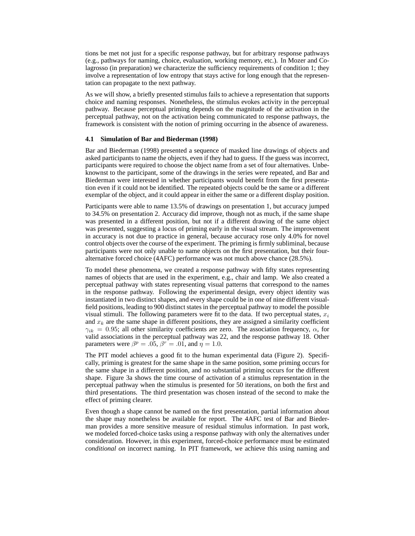tions be met not just for a specific response pathway, but for arbitrary response pathways (e.g., pathways for naming, choice, evaluation, working memory, etc.). In Mozer and Colagrosso (in preparation) we characterize the sufficiency requirements of condition 1; they involve a representation of low entropy that stays active for long enough that the representation can propagate to the next pathway.

As we will show, a briefly presented stimulus fails to achieve a representation that supports choice and naming responses. Nonetheless, the stimulus evokes activity in the perceptual pathway. Because perceptual priming depends on the magnitude of the activation in the perceptual pathway, not on the activation being communicated to response pathways, the framework is consistent with the notion of priming occurring in the absence of awareness.

#### **4.1 Simulation of Bar and Biederman (1998)**

Bar and Biederman (1998) presented a sequence of masked line drawings of objects and asked participants to name the objects, even if they had to guess. If the guess was incorrect, participants were required to choose the object name from a set of four alternatives. Unbeknownst to the participant, some of the drawings in the series were repeated, and Bar and Biederman were interested in whether participants would benefit from the first presentation even if it could not be identified. The repeated objects could be the same or a different exemplar of the object, and it could appear in either the same or a different display position.

Participants were able to name 13.5% of drawings on presentation 1, but accuracy jumped to 34.5% on presentation 2. Accuracy did improve, though not as much, if the same shape was presented in a different position, but not if a different drawing of the same object was presented, suggesting a locus of priming early in the visual stream. The improvement in accuracy is not due to practice in general, because accuracy rose only 4.0% for novel control objects over the course of the experiment. The priming is firmly subliminal, because participants were not only unable to name objects on the first presentation, but their fouralternative forced choice (4AFC) performance was not much above chance (28.5%).

To model these phenomena, we created a response pathway with fifty states representing names of objects that are used in the experiment, e.g., chair and lamp. We also created a perceptual pathway with states representing visual patterns that correspond to the names in the response pathway. Following the experimental design, every object identity was instantiated in two distinct shapes, and every shape could be in one of nine different visualfield positions, leading to 900 distinct states in the perceptual pathway to model the possible visual stimuli. The following parameters were fit to the data. If two perceptual states,  $x_i$ and  $x_k$  are the same shape in different positions, they are assigned a similarity coefficient  $\gamma_{ik} = 0.95$ ; all other similarity coefficients are zero. The association frequency,  $\alpha$ , for valid associations in the perceptual pathway was 22, and the response pathway 18. Other parameters were  $\beta^p = .05$ ,  $\beta^r = .01$ , and  $\eta = 1.0$ .

The PIT model achieves a good fit to the human experimental data (Figure 2). Specifically, priming is greatest for the same shape in the same position, some priming occurs for the same shape in a different position, and no substantial priming occurs for the different shape. Figure 3a shows the time course of activation of a stimulus representation in the perceptual pathway when the stimulus is presented for 50 iterations, on both the first and third presentations. The third presentation was chosen instead of the second to make the effect of priming clearer.

Even though a shape cannot be named on the first presentation, partial information about the shape may nonetheless be available for report. The 4AFC test of Bar and Biederman provides a more sensitive measure of residual stimulus information. In past work, we modeled forced-choice tasks using a response pathway with only the alternatives under consideration. However, in this experiment, forced-choice performance must be estimated *conditional on* incorrect naming. In PIT framework, we achieve this using naming and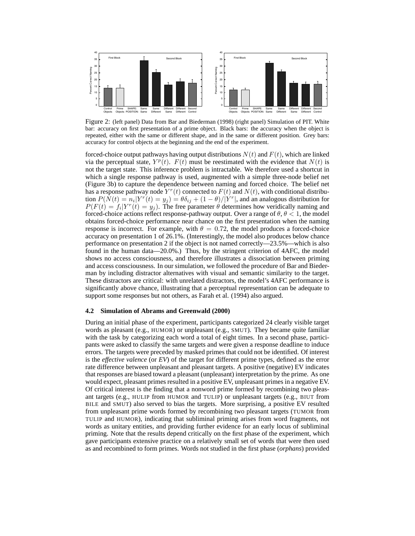

Figure 2: (left panel) Data from Bar and Biederman (1998) (right panel) Simulation of PIT. White bar: accuracy on first presentation of a prime object. Black bars: the accuracy when the object is repeated, either with the same or different shape, and in the same or different position. Grey bars: accuracy for control objects at the beginning and the end of the experiment.

forced-choice output pathways having output distributions  $N(t)$  and  $F(t)$ , which are linked via the perceptual state,  $Y^p(t)$ .  $F(t)$  must be reestimated with the evidence that  $N(t)$  is not the target state. This inference problem is intractable. We therefore used a shortcut in which a single response pathway is used, augmented with a simple three-node belief net (Figure 3b) to capture the dependence between naming and forced choice. The belief net has a response pathway node  $Y^r(t)$  connected to  $F(t)$  and  $N(t)$ , with conditional distribution  $P(\tilde{N}(t) = n_i | Y^r(t) = y_j) = \theta \delta_{ij} + (1 - \theta) / |\tilde{Y}^r|$ , and an analogous distribution for  $P(F(t) = f_i|Y^r(t) = y_j)$ . The free parameter  $\theta$  determines how veridically naming and forced-choice actions reflect response-pathway output. Over a range of  $\theta$ ,  $\theta$  < 1, the model obtains forced-choice performance near chance on the first presentation when the naming response is incorrect. For example, with  $\theta = 0.72$ , the model produces a forced-choice accuracy on presentation 1 of 26.1%. (Interestingly, the model also produces below chance performance on presentation 2 if the object is not named correctly—23.5%—which is also found in the human data—20.0%.) Thus, by the stringent criterion of 4AFC, the model shows no access consciousness, and therefore illustrates a dissociation between priming and access consciousness. In our simulation, we followed the procedure of Bar and Biederman by including distractor alternatives with visual and semantic similarity to the target. These distractors are critical: with unrelated distractors, the model's 4AFC performance is significantly above chance, illustrating that a perceptual representation can be adequate to support some responses but not others, as Farah et al. (1994) also argued.

#### **4.2 Simulation of Abrams and Greenwald (2000)**

During an initial phase of the experiment, participants categorized 24 clearly visible target words as pleasant (e.g., HUMOR) or unpleasant (e.g., SMUT). They became quite familiar with the task by categorizing each word a total of eight times. In a second phase, participants were asked to classify the same targets and were given a response deadline to induce errors. The targets were preceded by masked primes that could not be identified. Of interest is the *effective valence* (or *EV*) of the target for different prime types, defined as the error rate difference between unpleasant and pleasant targets. A positive (negative) EV indicates that responses are biased toward a pleasant (unpleasant) interpretation by the prime. As one would expect, pleasant primes resulted in a positive EV, unpleasant primes in a negative EV. Of critical interest is the finding that a nonword prime formed by recombining two pleasant targets (e.g., HULIP from HUMOR and TULIP) or unpleasant targets (e.g., BIUT from BILE and SMUT) also served to bias the targets. More surprising, a positive EV resulted from unpleasant prime words formed by recombining two pleasant targets (TUMOR from TULIP and HUMOR), indicating that subliminal priming arises from word fragments, not words as unitary entities, and providing further evidence for an early locus of subliminal priming. Note that the results depend critically on the first phase of the experiment, which gave participants extensive practice on a relatively small set of words that were then used as and recombined to form primes. Words not studied in the first phase (*orphans*) provided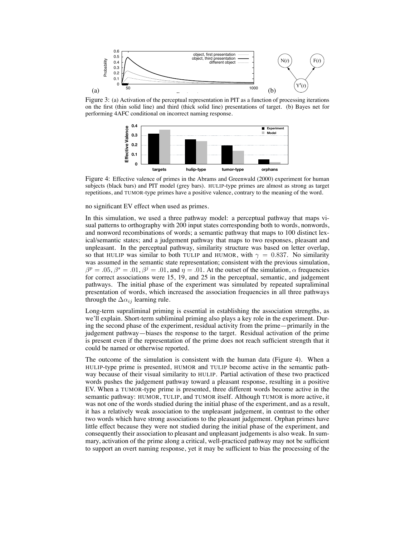

Figure 3: (a) Activation of the perceptual representation in PIT as a function of processing iterations on the first (thin solid line) and third (thick solid line) presentations of target. (b) Bayes net for performing 4AFC conditional on incorrect naming response.



Figure 4: Effective valence of primes in the Abrams and Greenwald (2000) experiment for human subjects (black bars) and PIT model (grey bars). HULIP-type primes are almost as strong as target repetitions, and TUMOR-type primes have a positive valence, contrary to the meaning of the word.

no significant EV effect when used as primes.

In this simulation, we used a three pathway model: a perceptual pathway that maps visual patterns to orthography with 200 input states corresponding both to words, nonwords, and nonword recombinations of words; a semantic pathway that maps to 100 distinct lexical/semantic states; and a judgement pathway that maps to two responses, pleasant and unpleasant. In the perceptual pathway, similarity structure was based on letter overlap, so that HULIP was similar to both TULIP and HUMOR, with  $\gamma = 0.837$ . No similarity was assumed in the semantic state representation; consistent with the previous simulation,  $\beta^p = .05$ ,  $\beta^s = .01$ ,  $\beta^j = .01$ , and  $\eta = .01$ . At the outset of the simulation,  $\alpha$  frequencies for correct associations were 15, 19, and 25 in the perceptual, semantic, and judgement pathways. The initial phase of the experiment was simulated by repeated supraliminal presentation of words, which increased the association frequencies in all three pathways through the  $\Delta \alpha_{ij}$  learning rule.

Long-term supraliminal priming is essential in establishing the association strengths, as we'll explain. Short-term subliminal priming also plays a key role in the experiment. During the second phase of the experiment, residual activity from the prime—primarily in the judgement pathway—biases the response to the target. Residual activation of the prime is present even if the representation of the prime does not reach sufficient strength that it could be named or otherwise reported.

The outcome of the simulation is consistent with the human data (Figure 4). When a HULIP-type prime is presented, HUMOR and TULIP become active in the semantic pathway because of their visual similarity to HULIP. Partial activation of these two practiced words pushes the judgement pathway toward a pleasant response, resulting in a positive EV. When a TUMOR-type prime is presented, three different words become active in the semantic pathway: HUMOR, TULIP, and TUMOR itself. Although TUMOR is more active, it was not one of the words studied during the initial phase of the experiment, and as a result, it has a relatively weak association to the unpleasant judgement, in contrast to the other two words which have strong associations to the pleasant judgement. Orphan primes have little effect because they were not studied during the initial phase of the experiment, and consequently their association to pleasant and unpleasant judgements is also weak. In summary, activation of the prime along a critical, well-practiced pathway may not be sufficient to support an overt naming response, yet it may be sufficient to bias the processing of the